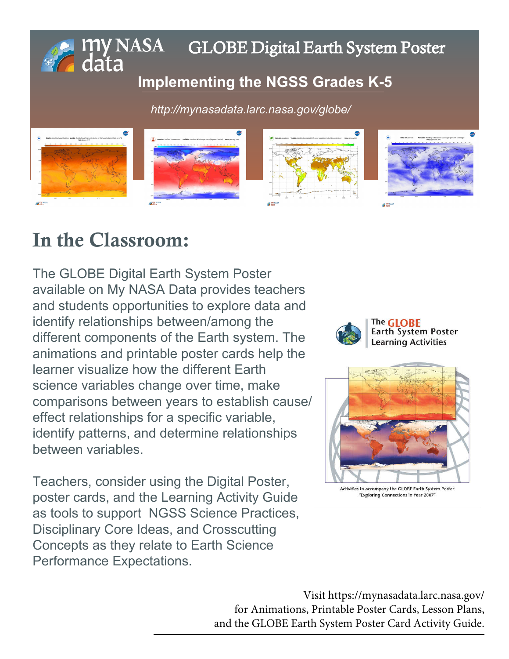## **E** my NASA GLOBE Digital Earth System Poster

## **I[mplementing the NGSS Grades K-5](http://mynasadata.larc.nasa.gov/globe/)**

*http://mynasadata.larc.nasa.gov/globe/*



# In the Classroom:

The GLOBE Digital Earth System Poster available on My NASA Data provides teachers and students opportunities to explore data and identify relationships between/among the different components of the Earth system. The animations and printable poster cards help the learner visualize how the different Earth science variables change over time, make comparisons between years to establish cause/ effect relationships for a specific variable, identify patterns, and determine relationships between variables.

Teachers, consider using the Digital Poster, poster cards, and the Learning Activity Guide as tools to support NGSS Science Practices, Disciplinary Core Ideas, and Crosscutting Concepts as they relate to Earth Science Performance Expectations.





Activities to accompany the GLOBE Earth System Poster "Exploring Connections in Year 2007

Visit https://mynasadata.larc.nasa.gov/ for Animations, Printable Poster Cards, Lesson Plans, [and the GLOBE Earth System Poster Card Activity Guide.](http://mynasadata.larc.nasa.gov/lesson-plans/lesson-plans-elementary-educators/)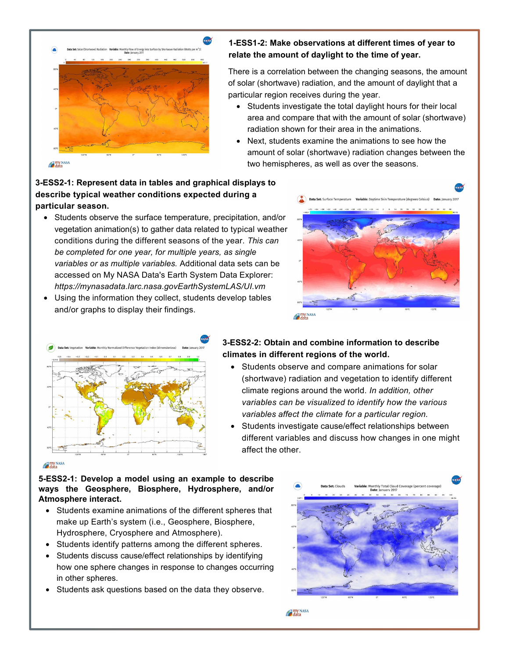

#### **1-ESS1-2: Make observations at different times of year to relate the amount of daylight to the time of year.**

 There is a correlation between the changing seasons, the amount of solar (shortwave) radiation, and the amount of daylight that a particular region receives during the year.

- Students investigate the total daylight hours for their local area and compare that with the amount of solar (shortwave) radiation shown for their area in the animations.
- Next, students examine the animations to see how the amount of solar (shortwave) radiation changes between the two hemispheres, as well as over the seasons.

#### **3-ESS2-1: Represent data in tables and graphical displays to describe typical weather conditions expected during a particular season.**

- • Students observe the surface temperature, precipitation, and/or vegetation animation(s) to gather data related to typical weather conditions during the different seasons of the year. *This can be completed for one year, for multiple years, as single variables or as multiple variables.* Additional data sets can be accessed on My NASA Data's Earth System Data Explorer: *https://mynasadata.larc.nasa.govEarthSystemLAS/UI.vm*
- • Using the information they collect, students develop tables and/or graphs to display their findings.





### **3-ESS2-2: Obtain and combine information to describe climates in different regions of the world.**

- • Students observe and compare animations for solar (shortwave) radiation and vegetation to identify different climate regions around the world. *In addition, other variables can be visualized to identify how the various variables affect the climate for a particular region.*
- different variables and discuss how changes in one might • Students investigate cause/effect relationships between affect the other.

#### my NASA

**5-ESS2-1: Develop a model using an example to describe ways the Geosphere, Biosphere, Hydrosphere, and/or Atmosphere interact.**

- • Students examine animations of the different spheres that make up Earth's system (i.e., Geosphere, Biosphere, Hydrosphere, Cryosphere and Atmosphere).
- Students identify patterns among the different spheres.
- how one sphere changes in response to changes occurring • Students discuss cause/effect relationships by identifying in other spheres.
- Students ask questions based on the data they observe.



my NASA